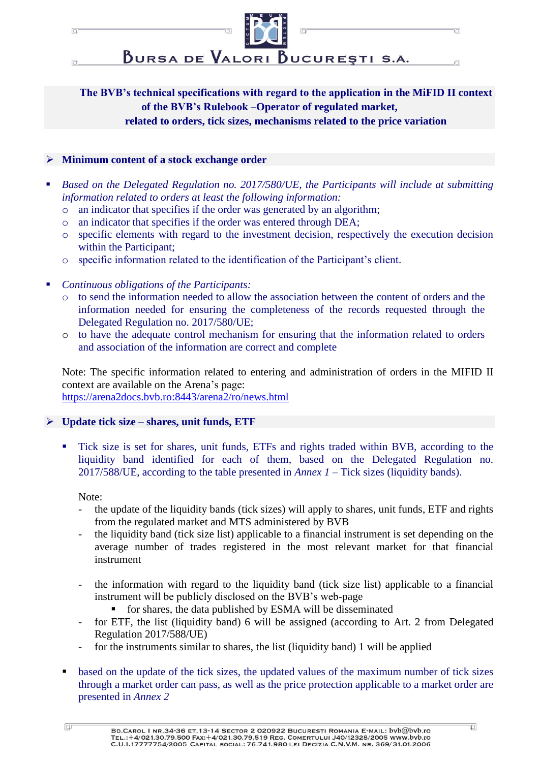

BURSA DE VALORI BUCUREȘTI S.A.

'n

Ū

**The BVB's technical specifications with regard to the application in the MiFID II context of the BVB's Rulebook –Operator of regulated market, related to orders, tick sizes, mechanisms related to the price variation** 

## ➢ **Minimum content of a stock exchange order**

同

 $\Box$ 

- Based on the Delegated Regulation no. 2017/580/UE, the Participants will include at submitting *information related to orders at least the following information:*
	- o an indicator that specifies if the order was generated by an algorithm;
	- o an indicator that specifies if the order was entered through DEA;
	- o specific elements with regard to the investment decision, respectively the execution decision within the Participant;
	- o specific information related to the identification of the Participant's client.
- *Continuous obligations of the Participants:*
	- o to send the information needed to allow the association between the content of orders and the information needed for ensuring the completeness of the records requested through the Delegated Regulation no. 2017/580/UE;
	- o to have the adequate control mechanism for ensuring that the information related to orders and association of the information are correct and complete

Note: The specific information related to entering and administration of orders in the MIFID II context are available on the Arena's page:

<https://arena2docs.bvb.ro:8443/arena2/ro/news.html>

## ➢ **Update tick size – shares, unit funds, ETF**

Tick size is set for shares, unit funds, ETFs and rights traded within BVB, according to the liquidity band identified for each of them, based on the Delegated Regulation no. 2017/588/UE, according to the table presented in *Annex 1* – Tick sizes (liquidity bands).

Note:

- the update of the liquidity bands (tick sizes) will apply to shares, unit funds, ETF and rights from the regulated market and MTS administered by BVB
- the liquidity band (tick size list) applicable to a financial instrument is set depending on the average number of trades registered in the most relevant market for that financial instrument
- the information with regard to the liquidity band (tick size list) applicable to a financial instrument will be publicly disclosed on the BVB's web-page
	- for shares, the data published by ESMA will be disseminated
- for ETF, the list (liquidity band) 6 will be assigned (according to Art. 2 from Delegated Regulation 2017/588/UE)
- for the instruments similar to shares, the list (liquidity band) 1 will be applied
- based on the update of the tick sizes, the updated values of the maximum number of tick sizes through a market order can pass, as well as the price protection applicable to a market order are presented in *Annex 2*